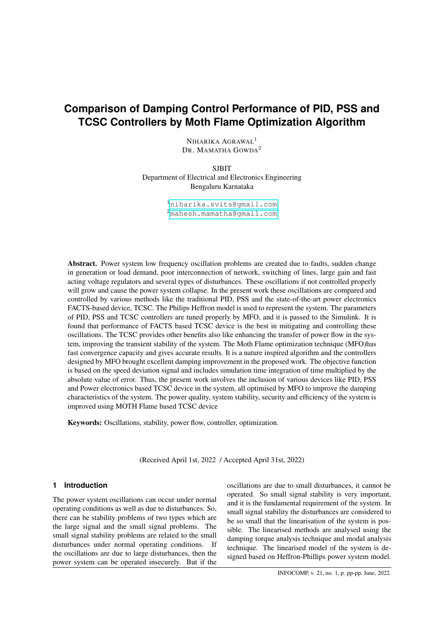# **Comparison of Damping Control Performance of PID, PSS and TCSC Controllers by Moth Flame Optimization Algorithm**

NIHARIKA AGRAWAL<sup>1</sup> DR. MAMATHA GOWDA<sup>2</sup>

SJBIT Department of Electrical and Electronics Engineering Bengaluru Karnataka

> <sup>1</sup><niharika.svits@gmail.com> <sup>2</sup><mahesh.mamatha@gmail.com>

Abstract. Power system low frequency oscillation problems are created due to faults, sudden change in generation or load demand, poor interconnection of network, switching of lines, large gain and fast acting voltage regulators and several types of disturbances. These oscillations if not controlled properly will grow and cause the power system collapse. In the present work these oscillations are compared and controlled by various methods like the traditional PID, PSS and the state-of-the-art power electronics FACTS-based device, TCSC. The Philips Heffron model is used to represent the system. The parameters of PID, PSS and TCSC controllers are tuned properly by MFO, and it is passed to the Simulink. It is found that performance of FACTS based TCSC device is the best in mitigating and controlling these oscillations. The TCSC provides other benefits also like enhancing the transfer of power flow in the system, improving the transient stability of the system. The Moth Flame optimization technique (MFO)has fast convergence capacity and gives accurate results. It is a nature inspired algorithm and the controllers designed by MFO brought excellent damping improvement in the proposed work. The objective function is based on the speed deviation signal and includes simulation time integration of time multiplied by the absolute value of error. Thus, the present work involves the inclusion of various devices like PID, PSS and Power electronics based TCSC device in the system, all optimised by MFO to improve the damping characteristics of the system. The power quality, system stability, security and efficiency of the system is improved using MOTH Flame based TCSC device

Keywords: Oscillations, stability, power flow, controller, optimization.

(Received April 1st, 2022 / Accepted April 31st, 2022)

## **1 Introduction**

The power system oscillations can occur under normal operating conditions as well as due to disturbances. So, there can be stability problems of two types which are the large signal and the small signal problems. The small signal stability problems are related to the small disturbances under normal operating conditions. If the oscillations are due to large disturbances, then the power system can be operated insecurely. But if the

oscillations are due to small disturbances, it cannot be operated. So small signal stability is very important, and it is the fundamental requirement of the system. In small signal stability the disturbances are considered to be so small that the linearisation of the system is possible. The linearised methods are analysed using the damping torque analysis technique and modal analysis technique. The linearised model of the system is designed based on Heffron-Phillips power system model.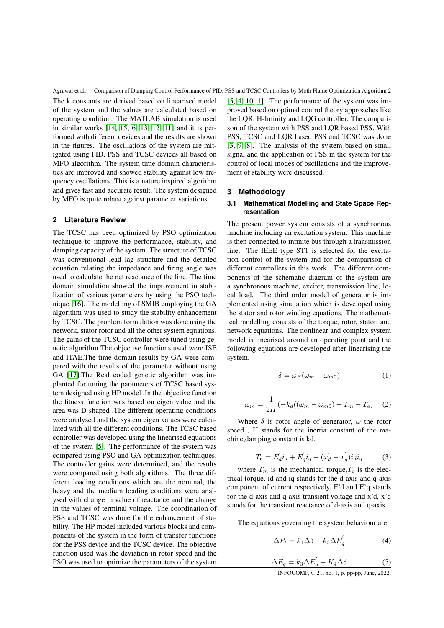The k constants are derived based on linearised model of the system and the values are calculated based on operating condition. The MATLAB simulation is used in similar works [\[14,](#page-7-0) [15,](#page-7-1) [6,](#page-6-0) [13,](#page-7-2) [12,](#page-7-3) [11\]](#page-7-4) and it is performed with different devices and the results are shown in the figures. The oscillations of the system are mitigated using PID, PSS and TCSC devices all based on MFO algorithm. The system time domain characteristics are improved and showed stability against low frequency oscillations. This is a nature inspired algorithm and gives fast and accurate result. The system designed by MFO is quite robust against parameter variations.

## **2 Literature Review**

The TCSC has been optimized by PSO optimization technique to improve the performance, stability, and damping capacity of the system. The structure of TCSC was conventional lead lag structure and the detailed equation relating the impedance and firing angle was used to calculate the net reactance of the line. The time domain simulation showed the improvement in stabilization of various parameters by using the PSO technique [\[16\]](#page-7-5). The modelling of SMIB employing the GA algorithm was used to study the stability enhancement by TCSC. The problem formulation was done using the network, stator rotor and all the other system equations. The gains of the TCSC controller were tuned using genetic algorithm The objective functions used were ISE and ITAE.The time domain results by GA were compared with the results of the parameter without using GA [\[17\]](#page-7-6).The Real coded genetic algorithm was implanted for tuning the parameters of TCSC based system designed using HP model .In the objective function the fitness function was based on eigen value and the area was D shaped .The different operating conditions were analysed and the system eigen values were calculated with all the different conditions. The TCSC based controller was developed using the linearised equations of the system [\[5\]](#page-6-1). The performance of the system was compared using PSO and GA optimization techniques. The controller gains were determined, and the results were compared using both algorithms. The three different loading conditions which are the nominal, the heavy and the medium loading conditions were analysed with change in value of reactance and the change in the values of terminal voltage. The coordination of PSS and TCSC was done for the enhancement of stability. The HP model included various blocks and components of the system in the form of transfer functions for the PSS device and the TCSC device. The objective function used was the deviation in rotor speed and the PSO was used to optimize the parameters of the system

[\[5,](#page-6-1) [4,](#page-6-2) [10,](#page-6-3) [1\]](#page-6-4). The performance of the system was improved based on optimal control theory approaches like the LQR, H-Infinity and LQG controller. The comparison of the system with PSS and LQR based PSS, With PSS, TCSC and LQR based PSS and TCSC was done [\[3,](#page-6-5) [9,](#page-6-6) [8\]](#page-6-7). The analysis of the system based on small signal and the application of PSS in the system for the control of local modes of oscillations and the improvement of stability were discussed.

#### **3 Methodology**

## **3.1 Mathematical Modelling and State Space Representation**

The present power system consists of a synchronous machine including an excitation system. This machine is then connected to infinite bus through a transmission line. The IEEE type ST1 is selected for the excitation control of the system and for the comparison of different controllers in this work. The different components of the schematic diagram of the system are a synchronous machine, exciter, transmission line, local load. The third order model of generator is implemented using simulation which is developed using the stator and rotor winding equations. The mathematical modelling consists of the torque, rotor, stator, and network equations. The nonlinear and complex system model is linearised around an operating point and the following equations are developed after linearising the system.

$$
\dot{\delta} = \omega_B (\omega_m - \omega_{m0}) \tag{1}
$$

$$
\omega_m = \frac{1}{2H} \left( -k_d \left( (\omega_m - \omega_{m0}) + T_m - T_e \right) \right)
$$
 (2)

Where  $\delta$  is rotor angle of generator,  $\omega$  the rotor speed , H stands for the inertia constant of the machine,damping constant is kd.

$$
T_e = E_d^{'} i_d + E_q^{'} i_q + (x_d^{'} - x_q^{'}) i_d i_q \tag{3}
$$

where  $T_m$  is the mechanical torque,  $T_e$  is the electrical torque, id and iq stands for the d-axis and q-axis component of current respectively, E'd and E'q stands for the d-axis and q-axis transient voltage and x'd, x'q stands for the transient reactance of d-axis and q-axis.

The equations governing the system behaviour are:

$$
\Delta P_t = k_1 \Delta \delta + k_2 \Delta E_q' \tag{4}
$$

$$
\Delta E_q = k_3 \Delta E_q' + K_4 \Delta \delta \tag{5}
$$

INFOCOMP, v. 21, no. 1, p. pp-pp, June, 2022.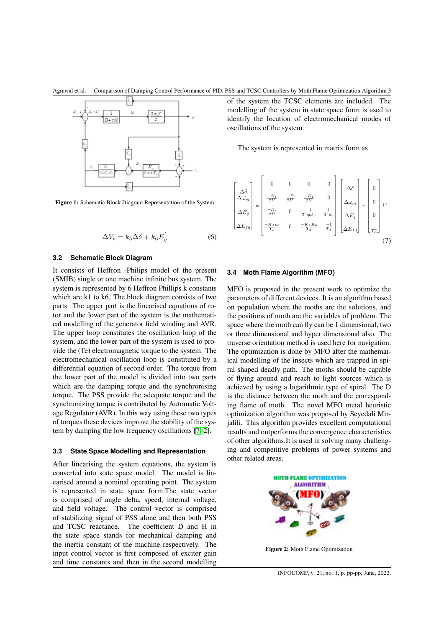Agrawal et al. Comparison of Damping Control Performance of PID, PSS and TCSC Controllers by Moth Flame Optimization Algorithm 3



Figure 1: Schematic Block Diagram Representation of the System

$$
\Delta V_t = k_5 \Delta \delta + k_6 E_q' \tag{6}
$$

#### **3.2 Schematic Block Diagram**

It consists of Heffron -Philips model of the present (SMIB) single or one machine infinite bus system. The system is represented by 6 Heffron Phillips k constants which are k1 to k6. The block diagram consists of two parts. The upper part is the linearised equations of rotor and the lower part of the system is the mathematical modelling of the generator field winding and AVR. The upper loop constitutes the oscillation loop of the system, and the lower part of the system is used to provide the (Te) electromagnetic torque to the system. The electromechanical oscillation loop is constituted by a differential equation of second order. The torque from the lower part of the model is divided into two parts which are the damping torque and the synchronising torque. The PSS provide the adequate torque and the synchronizing torque is contributed by Automatic Voltage Regulator (AVR). In this way using these two types of torques these devices improve the stability of the system by damping the low frequency oscillations [\[7,](#page-6-8) [2\]](#page-6-9).

#### **3.3 State Space Modelling and Representation**

After linearising the system equations, the system is converted into state space model. The model is linearised around a nominal operating point. The system is represented in state space form.The state vector is comprised of angle delta, speed, internal voltage, and field voltage. The control vector is comprised of stabilizing signal of PSS alone and then both PSS and TCSC reactance. The coefficient D and H in the state space stands for mechanical damping and the inertia constant of the machine respectively. The input control vector is first composed of exciter gain and time constants and then in the second modelling of the system the TCSC elements are included. The modelling of the system in state space form is used to identify the location of electromechanical modes of oscillations of the system.

The system is represented in matrix form as

$$
\begin{bmatrix}\Delta\dot{\delta} \\ \Delta\dot{\omega}_m \\ \Delta\dot{E}_q \\ \Delta\dot{E}_{fd}\end{bmatrix} = \begin{bmatrix}0 & 0 & 0 & 0 \\ \frac{-K_1}{2H} & \frac{-D}{2H} & \frac{-K_1}{2H} & 0 \\ \frac{-K_4}{2H} & 0 & \frac{-1}{T'q_0k_3} & \frac{1}{T'd_0} \\ \frac{-K_4k_5}{T_A} & 0 & \frac{-K_AK_6}{T_A} & \frac{-1}{T_A}\end{bmatrix} \begin{bmatrix}\Delta\delta \\ \Delta\omega_m \\ \Delta E_q \\ \Delta E_{fd}\end{bmatrix} + \begin{bmatrix}0 \\ 0 \\ 0 \\ 0 \\ \frac{-1}{T_A}\end{bmatrix}U
$$
\n
$$
(7)
$$

#### **3.4 Moth Flame Algorithm (MFO)**

MFO is proposed in the present work to optimize the parameters of different devices. It is an algorithm based on population where the moths are the solutions, and the positions of moth are the variables of problem. The space where the moth can fly can be 1 dimensional, two or three dimensional and hyper dimensional also. The traverse orientation method is used here for navigation. The optimization is done by MFO after the mathematical modelling of the insects which are trapped in spiral shaped deadly path. The moths should be capable of flying around and reach to light sources which is achieved by using a logarithmic type of spiral. The D is the distance between the moth and the corresponding flame of moth. The novel MFO metal heuristic optimization algorithm was proposed by Seyedali Mirjalili. This algorithm provides excellent computational results and outperforms the convergence characteristics of other algorithms.It is used in solving many challenging and competitive problems of power systems and other related areas.



Figure 2: Moth Flame Optimization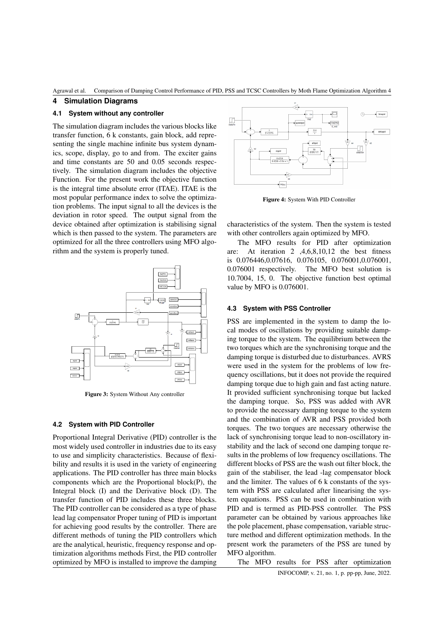Agrawal et al. Comparison of Damping Control Performance of PID, PSS and TCSC Controllers by Moth Flame Optimization Algorithm 4

## **4 Simulation Diagrams**

## **4.1 System without any controller**

The simulation diagram includes the various blocks like transfer function, 6 k constants, gain block, add representing the single machine infinite bus system dynamics, scope, display, go to and from. The exciter gains and time constants are 50 and 0.05 seconds respectively. The simulation diagram includes the objective Function. For the present work the objective function is the integral time absolute error (ITAE). ITAE is the most popular performance index to solve the optimization problems. The input signal to all the devices is the deviation in rotor speed. The output signal from the device obtained after optimization is stabilising signal which is then passed to the system. The parameters are optimized for all the three controllers using MFO algorithm and the system is properly tuned.



Figure 3: System Without Any controller

#### **4.2 System with PID Controller**

Proportional Integral Derivative (PID) controller is the most widely used controller in industries due to its easy to use and simplicity characteristics. Because of flexibility and results it is used in the variety of engineering applications. The PID controller has three main blocks components which are the Proportional block(P), the Integral block (I) and the Derivative block (D). The transfer function of PID includes these three blocks. The PID controller can be considered as a type of phase lead lag compensator Proper tuning of PID is important for achieving good results by the controller. There are different methods of tuning the PID controllers which are the analytical, heuristic, frequency response and optimization algorithms methods First, the PID controller optimized by MFO is installed to improve the damping



Figure 4: System With PID Controller

characteristics of the system. Then the system is tested with other controllers again optimized by MFO.

The MFO results for PID after optimization are: At iteration 2 ,4,6,8,10,12 the best fitness is 0.076446,0.07616, 0.076105, 0.076001,0.076001, 0.076001 respectively. The MFO best solution is 10.7004, 15, 0. The objective function best optimal value by MFO is 0.076001.

#### **4.3 System with PSS Controller**

PSS are implemented in the system to damp the local modes of oscillations by providing suitable damping torque to the system. The equilibrium between the two torques which are the synchronising torque and the damping torque is disturbed due to disturbances. AVRS were used in the system for the problems of low frequency oscillations, but it does not provide the required damping torque due to high gain and fast acting nature. It provided sufficient synchronising torque but lacked the damping torque. So, PSS was added with AVR to provide the necessary damping torque to the system and the combination of AVR and PSS provided both torques. The two torques are necessary otherwise the lack of synchronising torque lead to non-oscillatory instability and the lack of second one damping torque results in the problems of low frequency oscillations. The different blocks of PSS are the wash out filter block, the gain of the stabiliser, the lead -lag compensator block and the limiter. The values of 6 k constants of the system with PSS are calculated after linearising the system equations. PSS can be used in combination with PID and is termed as PID-PSS controller. The PSS parameter can be obtained by various approaches like the pole placement, phase compensation, variable structure method and different optimization methods. In the present work the parameters of the PSS are tuned by MFO algorithm.

The MFO results for PSS after optimization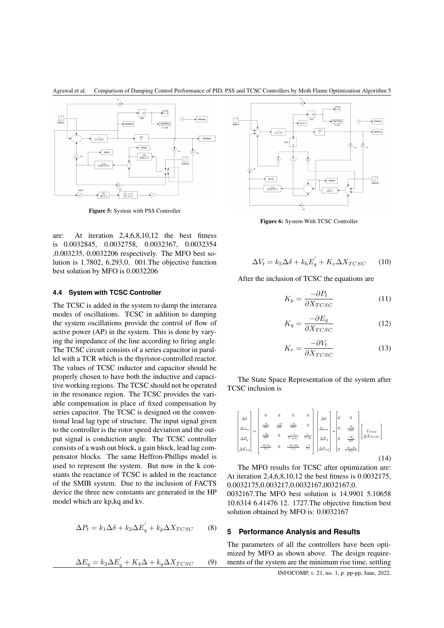



Figure 5: System with PSS Controller

are: At iteration 2,4,6,8,10,12 the best fitness is 0.0032845, 0.0032758, 0.0032367, 0.0032354 ,0.003235, 0.0032206 respectively. The MFO best solution is 1.7802, 6.293,0. 001.The objective function best solution by MFO is 0.0032206

#### **4.4 System with TCSC Controller**

The TCSC is added in the system to damp the interarea modes of oscillations. TCSC in addition to damping the system oscillations provide the control of flow of active power (AP) in the system. This is done by varying the impedance of the line according to firing angle. The TCSC circuit consists of a series capacitor in parallel with a TCR which is the thyristor-controlled reactor. The values of TCSC inductor and capacitor should be properly chosen to have both the inductive and capacitive working regions. The TCSC should not be operated in the resonance region. The TCSC provides the variable compensation in place of fixed compensation by series capacitor. The TCSC is designed on the conventional lead lag type of structure. The input signal given to the controller is the rotor speed deviation and the output signal is conduction angle. The TCSC controller consists of a wash out block, a gain block, lead lag compensator blocks. The same Heffron-Phillips model is used to represent the system. But now in the k constants the reactance of TCSC is added in the reactance of the SMIB system. Due to the inclusion of FACTS device the three new constants are generated in the HP model which are kp,kq and kv.

$$
\Delta P_t = k_1 \Delta \delta + k_2 \Delta E_q' + k_p \Delta X_{TCSC}
$$
 (8)

$$
\Delta E_q = k_3 \Delta E_q' + K_4 \Delta + k_q \Delta X_{TCSC} \tag{9}
$$



Figure 6: System With TCSC Controller

$$
\Delta V_t = k_5 \Delta \delta + k_6 E_q' + K_v \Delta X_{TCSC} \qquad (10)
$$

After the inclusion of TCSC the equations are

$$
K_p = \frac{-\partial P_t}{\partial X_{TCSC}}
$$
 (11)

$$
K_q = \frac{-\partial E_q}{\partial X_{TCSC}}
$$
 (12)

$$
K_v = \frac{-\partial V_t}{\partial X_{TCSC}}
$$
 (13)

The State Space Representation of the system after TCSC inclusion is

$$
\begin{bmatrix}\Delta\dot{\delta}\\\Delta\dot{\omega_m}\\\Delta\dot{E_q}\\\Delta\dot{E_q}\end{bmatrix}=\begin{bmatrix}0 & 0 & 0 & 0\\ -\frac{K_1}{2H} & \frac{-D}{2H} & \frac{-K_1}{2H} & 0\\ -\frac{K_4}{2H} & 0 & \frac{-1}{T'q_0k_3} & \frac{1}{T'd_0}\\ -\frac{K_4}{T_A} & 0 & -\frac{K_4K_6}{T_A} & \frac{-1}{T_A}\end{bmatrix}\begin{bmatrix}\Delta\delta\\ \Delta\omega_m\\ \Delta E_q\\ \Delta E_q\\ \Delta E_f\\ \Delta E_f\\ \Delta E_f\\ \end{bmatrix}+\begin{bmatrix}0 & 0\\ 0 & \frac{-K_2}{2H}\\ 0 & \frac{-K_4K_6}{2H}\\ 0 & \frac{-K_4K_6}{T_A}\end{bmatrix}\begin{bmatrix}V_{PSS}\\U_{PSS}\\ \Delta X_{TCSC}\end{bmatrix}
$$

(14)

The MFO results for TCSC after optimization are: At iteration 2,4,6,8,10,12 the best fitness is 0.0032175, 0.0032175,0.003217,0.0032167,0032167,0.

0032167.The MFO best solution is 14.9901 5.10658 10.6314 6.41476 12. 1727.The objective function best solution obtained by MFO is: 0.0032167

## **5 Performance Analysis and Results**

The parameters of all the controllers have been optimized by MFO as shown above. The design requirements of the system are the minimum rise time, settling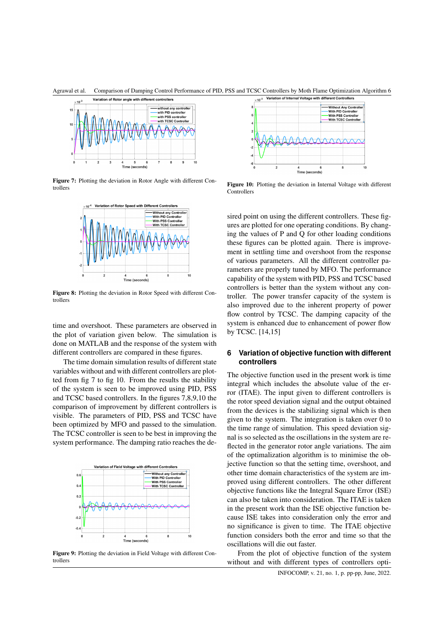



Figure 7: Plotting the deviation in Rotor Angle with different Controllers



Figure 8: Plotting the deviation in Rotor Speed with different Controllers

time and overshoot. These parameters are observed in the plot of variation given below. The simulation is done on MATLAB and the response of the system with different controllers are compared in these figures.

The time domain simulation results of different state variables without and with different controllers are plotted from fig 7 to fig 10. From the results the stability of the system is seen to be improved using PID, PSS and TCSC based controllers. In the figures 7,8,9,10 the comparison of improvement by different controllers is visible. The parameters of PID, PSS and TCSC have been optimized by MFO and passed to the simulation. The TCSC controller is seen to be best in improving the system performance. The damping ratio reaches the de-



Figure 9: Plotting the deviation in Field Voltage with different Controllers



Figure 10: Plotting the deviation in Internal Voltage with different **Controllers** 

sired point on using the different controllers. These figures are plotted for one operating conditions. By changing the values of P and Q for other loading conditions these figures can be plotted again. There is improvement in settling time and overshoot from the response of various parameters. All the different controller parameters are properly tuned by MFO. The performance capability of the system with PID, PSS and TCSC based controllers is better than the system without any controller. The power transfer capacity of the system is also improved due to the inherent property of power flow control by TCSC. The damping capacity of the system is enhanced due to enhancement of power flow by TCSC. [14,15]

## **6 Variation of objective function with different controllers**

The objective function used in the present work is time integral which includes the absolute value of the error (ITAE). The input given to different controllers is the rotor speed deviation signal and the output obtained from the devices is the stabilizing signal which is then given to the system. The integration is taken over 0 to the time range of simulation. This speed deviation signal is so selected as the oscillations in the system are reflected in the generator rotor angle variations. The aim of the optimalization algorithm is to minimise the objective function so that the setting time, overshoot, and other time domain characteristics of the system are improved using different controllers. The other different objective functions like the Integral Square Error (ISE) can also be taken into consideration. The ITAE is taken in the present work than the ISE objective function because ISE takes into consideration only the error and no significance is given to time. The ITAE objective function considers both the error and time so that the oscillations will die out faster.

From the plot of objective function of the system without and with different types of controllers opti-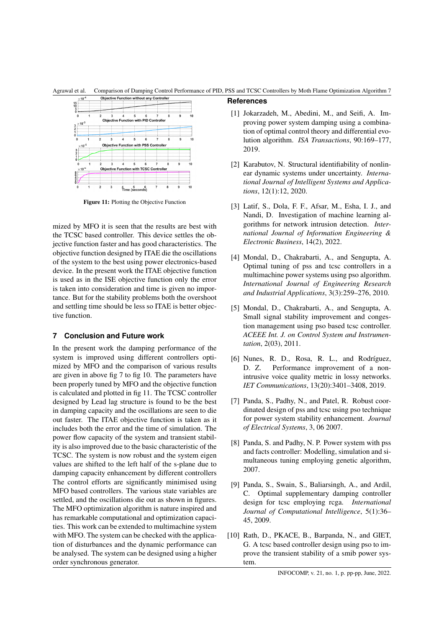Agrawal et al. Comparison of Damping Control Performance of PID, PSS and TCSC Controllers by Moth Flame Optimization Algorithm 7

**References**



Figure 11: Plotting the Objective Function

mized by MFO it is seen that the results are best with the TCSC based controller. This device settles the objective function faster and has good characteristics. The objective function designed by ITAE die the oscillations of the system to the best using power electronics-based device. In the present work the ITAE objective function is used as in the ISE objective function only the error is taken into consideration and time is given no importance. But for the stability problems both the overshoot and settling time should be less so ITAE is better objective function.

# **7 Conclusion and Future work**

In the present work the damping performance of the system is improved using different controllers optimized by MFO and the comparison of various results are given in above fig 7 to fig 10. The parameters have been properly tuned by MFO and the objective function is calculated and plotted in fig 11. The TCSC controller designed by Lead lag structure is found to be the best in damping capacity and the oscillations are seen to die out faster. The ITAE objective function is taken as it includes both the error and the time of simulation. The power flow capacity of the system and transient stability is also improved due to the basic characteristic of the TCSC. The system is now robust and the system eigen values are shifted to the left half of the s-plane due to damping capacity enhancement by different controllers The control efforts are significantly minimised using MFO based controllers. The various state variables are settled, and the oscillations die out as shown in figures. The MFO optimization algorithm is nature inspired and has remarkable computational and optimization capacities. This work can be extended to multimachine system with MFO. The system can be checked with the application of disturbances and the dynamic performance can be analysed. The system can be designed using a higher order synchronous generator.

## <span id="page-6-4"></span>[1] Jokarzadeh, M., Abedini, M., and Seifi, A. Improving power system damping using a combination of optimal control theory and differential evolution algorithm. *ISA Transactions*, 90:169–177, 2019.

- <span id="page-6-9"></span>[2] Karabutov, N. Structural identifiability of nonlinear dynamic systems under uncertainty. *International Journal of Intelligent Systems and Applications*, 12(1):12, 2020.
- <span id="page-6-5"></span>[3] Latif, S., Dola, F. F., Afsar, M., Esha, I. J., and Nandi, D. Investigation of machine learning algorithms for network intrusion detection. *International Journal of Information Engineering & Electronic Business*, 14(2), 2022.
- <span id="page-6-2"></span>[4] Mondal, D., Chakrabarti, A., and Sengupta, A. Optimal tuning of pss and tcsc controllers in a multimachine power systems using pso algorithm. *International Journal of Engineering Research and Industrial Applications*, 3(3):259–276, 2010.
- <span id="page-6-1"></span>[5] Mondal, D., Chakrabarti, A., and Sengupta, A. Small signal stability improvement and congestion management using pso based tcsc controller. *ACEEE Int. J. on Control System and Instrumentation*, 2(03), 2011.
- <span id="page-6-0"></span>[6] Nunes, R. D., Rosa, R. L., and Rodríguez, D. Z. Performance improvement of a nonintrusive voice quality metric in lossy networks. *IET Communications*, 13(20):3401–3408, 2019.
- <span id="page-6-8"></span>[7] Panda, S., Padhy, N., and Patel, R. Robust coordinated design of pss and tcsc using pso technique for power system stability enhancement. *Journal of Electrical Systems*, 3, 06 2007.
- <span id="page-6-7"></span>[8] Panda, S. and Padhy, N. P. Power system with pss and facts controller: Modelling, simulation and simultaneous tuning employing genetic algorithm, 2007.
- <span id="page-6-6"></span>[9] Panda, S., Swain, S., Baliarsingh, A., and Ardil, C. Optimal supplementary damping controller design for tcsc employing rcga. *International Journal of Computational Intelligence*, 5(1):36– 45, 2009.
- <span id="page-6-3"></span>[10] Rath, D., PKACE, B., Barpanda, N., and GIET, G. A tcsc based controller design using pso to improve the transient stability of a smib power system.